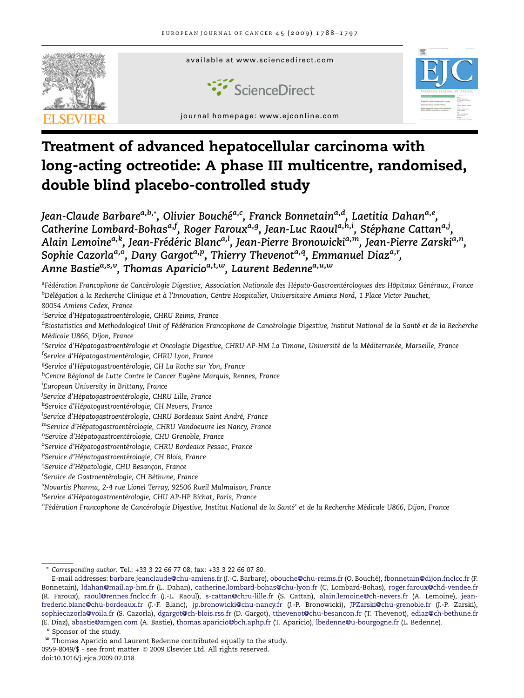

# Treatment of advanced hepatocellular carcinoma with long-acting octreotide: A phase III multicentre, randomised, double blind placebo-controlled study

Jean-Claude Barbare<sup>a,b,</sup>\*, Olivier Bouché<sup>a,c</sup>, Franck Bonnetain<sup>a,d</sup>, Laetitia Dahan<sup>a,e</sup>, Catherine Lombard-Bohas<sup>a,f</sup>, Roger Faroux<sup>a,g</sup>, Jean-Luc Raoul<sup>a,h,i</sup>, Stéphane Cattan<sup>a,j</sup>, Alain Lemoine<sup>a,k</sup>, Jean-Frédéric Blanc<sup>a,l</sup>, Jean-Pierre Bronowicki<sup>a,m</sup>, Jean-Pierre Zarski<sup>a,n</sup>, Sophie Cazorla<sup>a,o</sup>, Dany Gargot<sup>a,p</sup>, Thierry Thevenot<sup>a,q</sup>, Emmanuel Diaz<sup>a,r</sup>, Anne Bastie<sup>a,s,v</sup>, Thomas Aparicio<sup>a,t,w</sup>, Laurent Bedenne<sup>a,u,w</sup>

<sup>a</sup>Fédération Francophone de Cancérologie Digestive, Association Nationale des Hépato-Gastroentérologues des Hôpitaux Généraux, France <sup>b</sup>Délégation à la Recherche Clinique et à l'Innovation, Centre Hospitalier, Universitaire Amiens Nord, 1 Place Victor Pauchet, 80054 Amiens Cedex, France

<sup>c</sup>Service d'Hépatogastroentérologie, CHRU Reims, France

<sup>d</sup>Biostatistics and Methodological Unit of Fédération Francophone de Cancérologie Digestive, Institut National de la Santé et de la Recherche Médicale U866, Dijon, France

<sup>e</sup>Service d'Hépatogastroentérologie et Oncologie Digestive, CHRU AP-HM La Timone, Université de la Méditerranée, Marseille, France <sup>f</sup>Service d'Hépatogastroentérologie, CHRU Lyon, France

<sup>g</sup>Service d'Hépatogastroentérologie, CH La Roche sur Yon, France

<sup>h</sup>Centre Régional de Lutte Contre le Cancer Eugène Marquis, Rennes, France

i European University in Brittany, France

<sup>j</sup>Service d'Hépatogastroentérologie, CHRU Lille, France

<sup>k</sup>Service d'Hépatogastroentérologie, CH Nevers, France

<sup>l</sup>Service d'Hépatogastroentérologie, CHRU Bordeaux Saint André, France

mService d'Hépatogastroentérologie, CHRU Vandoeuvre les Nancy, France

<sup>n</sup>Service d'Hépatogastroentérologie, CHU Grenoble, France

<sup>o</sup>Service d'Hépatogastroentérologie, CHRU Bordeaux Pessac, France

<sup>P</sup>Service d'Hépatogastroentérologie, CH Blois, France

<sup>q</sup>Service d'Hépatologie, CHU Besançon, France

<sup>r</sup>Service de Gastroentérologie, CH Béthune, France

s Novartis Pharma, 2-4 rue Lionel Terray, 92506 Rueil Malmaison, France

<sup>t</sup>Service d'Hépatogastroentérologie, CHU AP-HP Bichat, Paris, France

<sup>u</sup>Fédération Francophone de Cancérologie Digestive, Institut National de la Santé' et de la Recherche Médicale U866, Dijon, France

<sup>v</sup> Sponsor of the study.

0959-8049/\$ - see front matter © 2009 Elsevier Ltd. All rights reserved. doi:10.1016/j.ejca.2009.02.018

Corresponding author: Tel.: +33 3 22 66 77 08; fax: +33 3 22 66 07 80.

E-mail addresses: [barbare.jeanclaude@chu-amiens.fr](mailto:barbare.jeanclaude@chu-amiens.fr) (J.-C. Barbare), [obouche@chu-reims.fr](mailto:obouche@chu-reims.fr) (O. Bouche´), [fbonnetain@dijon.fnclcc.fr](mailto:fbonnetain@dijon.fnclcc.fr) (F. Bonnetain), [ldahan@mail.ap-hm.fr](mailto:ldahan@mail.ap-hm.fr) (L. Dahan), [catherine.lombard-bohas@chu-lyon.fr](mailto:catherine.lombard-bohas@chu-lyon.fr) (C. Lombard-Bohas), [roger.faroux@chd-vendee.fr](mailto:roger.faroux@chd-vendee.fr) (R. Faroux), [raoul@rennes.fnclcc.fr](mailto:raoul@rennes.fnclcc.fr) (J.-L. Raoul), [s-cattan@chru-lille.fr](mailto:s-cattan@chru-lille.fr) (S. Cattan), [alain.lemoine@ch-nevers.fr](mailto:alain.lemoine@ch-nevers.fr) (A. Lemoine), [jean](mailto:jean-frederic.blanc@chu-bordeaux.fr)[frederic.blanc@chu-bordeaux.fr](mailto:jean-frederic.blanc@chu-bordeaux.fr) (J.-F. Blanc), [jp.bronowicki@chu-nancy.fr](mailto:jp.bronowicki@chu-nancy.fr) (J.-P. Bronowicki), [JPZarski@chu-grenoble.fr](mailto:JPZarski@chu-grenoble.fr) (J.-P. Zarski), [sophiecazorla@voila.fr](mailto:sophiecazorla@voila.fr) (S. Cazorla), [dgargot@ch-blois.rss.fr](mailto:dgargot@ch-blois.rss.fr) (D. Gargot), [tthevenot@chu-besancon.fr](mailto:tthevenot@chu-besancon.fr) (T. Thevenot), [ediaz@ch-bethune.fr](mailto:ediaz@ch-bethune.fr) (E. Diaz), [abastie@amgen.com](mailto:abastie@amgen.com) (A. Bastie), [thomas.aparicio@bch.aphp.fr](mailto:thomas.aparicio@bch.aphp.fr) (T. Aparicio), [lbedenne@u-bourgogne.fr](mailto:lbedenne@u-bourgogne.fr) (L. Bedenne).

 $^w$  Thomas Aparicio and Laurent Bedenne contributed equally to the study.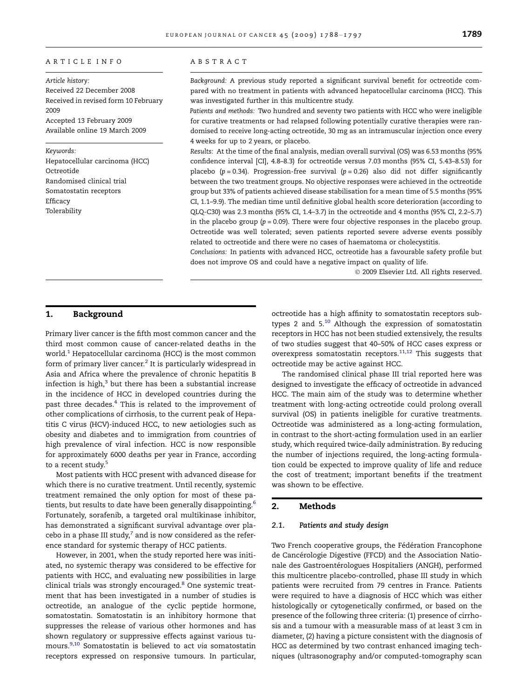#### ARTICLE INFO

Article history: Received 22 December 2008 Received in revised form 10 February 2009 Accepted 13 February 2009 Available online 19 March 2009

#### Keywords:

Hepatocellular carcinoma (HCC) Octreotide Randomised clinical trial Somatostatin receptors Efficacy Tolerability

#### ABSTRACT

Background: A previous study reported a significant survival benefit for octreotide compared with no treatment in patients with advanced hepatocellular carcinoma (HCC). This was investigated further in this multicentre study.

Patients and methods: Two hundred and seventy two patients with HCC who were ineligible for curative treatments or had relapsed following potentially curative therapies were randomised to receive long-acting octreotide, 30 mg as an intramuscular injection once every 4 weeks for up to 2 years, or placebo.

Results: At the time of the final analysis, median overall survival (OS) was 6.53 months (95% confidence interval [CI], 4.8–8.3) for octreotide versus 7.03 months (95% CI, 5.43–8.53) for placebo ( $p = 0.34$ ). Progression-free survival ( $p = 0.26$ ) also did not differ significantly between the two treatment groups. No objective responses were achieved in the octreotide group but 33% of patients achieved disease stabilisation for a mean time of 5.5 months (95% CI, 1.1–9.9). The median time until definitive global health score deterioration (according to QLQ-C30) was 2.3 months (95% CI, 1.4–3.7) in the octreotide and 4 months (95% CI, 2.2–5.7) in the placebo group ( $p = 0.09$ ). There were four objective responses in the placebo group. Octreotide was well tolerated; seven patients reported severe adverse events possibly related to octreotide and there were no cases of haematoma or cholecystitis.

Conclusions: In patients with advanced HCC, octreotide has a favourable safety profile but does not improve OS and could have a negative impact on quality of life.

- 2009 Elsevier Ltd. All rights reserved.

# 1. Background

Primary liver cancer is the fifth most common cancer and the third most common cause of cancer-related deaths in the world.<sup>[1](#page-9-0)</sup> Hepatocellular carcinoma (HCC) is the most common form of primary liver cancer. $<sup>2</sup>$  $<sup>2</sup>$  $<sup>2</sup>$  It is particularly widespread in</sup> Asia and Africa where the prevalence of chronic hepatitis B infection is high, $3$  but there has been a substantial increase in the incidence of HCC in developed countries during the past three decades.<sup>[4](#page-9-0)</sup> This is related to the improvement of other complications of cirrhosis, to the current peak of Hepatitis C virus (HCV)-induced HCC, to new aetiologies such as obesity and diabetes and to immigration from countries of high prevalence of viral infection. HCC is now responsible for approximately 6000 deaths per year in France, according to a recent study.<sup>[5](#page-9-0)</sup>

Most patients with HCC present with advanced disease for which there is no curative treatment. Until recently, systemic treatment remained the only option for most of these pa-tients, but results to date have been generally disappointing.<sup>[6](#page-9-0)</sup> Fortunately, sorafenib, a targeted oral multikinase inhibitor, has demonstrated a significant survival advantage over placebo in a phase III study, $7$  and is now considered as the reference standard for systemic therapy of HCC patients.

However, in 2001, when the study reported here was initiated, no systemic therapy was considered to be effective for patients with HCC, and evaluating new possibilities in large clinical trials was strongly encouraged.<sup>[8](#page-9-0)</sup> One systemic treatment that has been investigated in a number of studies is octreotide, an analogue of the cyclic peptide hormone, somatostatin. Somatostatin is an inhibitory hormone that suppresses the release of various other hormones and has shown regulatory or suppressive effects against various tumours[.9,10](#page-9-0) Somatostatin is believed to act via somatostatin receptors expressed on responsive tumours. In particular,

octreotide has a high affinity to somatostatin receptors subtypes 2 and  $5^{10}$  $5^{10}$  $5^{10}$  Although the expression of somatostatin receptors in HCC has not been studied extensively, the results of two studies suggest that 40–50% of HCC cases express or overexpress somatostatin receptors. $11,12$  This suggests that octreotide may be active against HCC.

The randomised clinical phase III trial reported here was designed to investigate the efficacy of octreotide in advanced HCC. The main aim of the study was to determine whether treatment with long-acting octreotide could prolong overall survival (OS) in patients ineligible for curative treatments. Octreotide was administered as a long-acting formulation, in contrast to the short-acting formulation used in an earlier study, which required twice-daily administration. By reducing the number of injections required, the long-acting formulation could be expected to improve quality of life and reduce the cost of treatment; important benefits if the treatment was shown to be effective.

# 2. Methods

#### 2.1. Patients and study design

Two French cooperative groups, the Fédération Francophone de Cancérologie Digestive (FFCD) and the Association Nationale des Gastroentérologues Hospitaliers (ANGH), performed this multicentre placebo-controlled, phase III study in which patients were recruited from 79 centres in France. Patients were required to have a diagnosis of HCC which was either histologically or cytogenetically confirmed, or based on the presence of the following three criteria: (1) presence of cirrhosis and a tumour with a measurable mass of at least 3 cm in diameter, (2) having a picture consistent with the diagnosis of HCC as determined by two contrast enhanced imaging techniques (ultrasonography and/or computed-tomography scan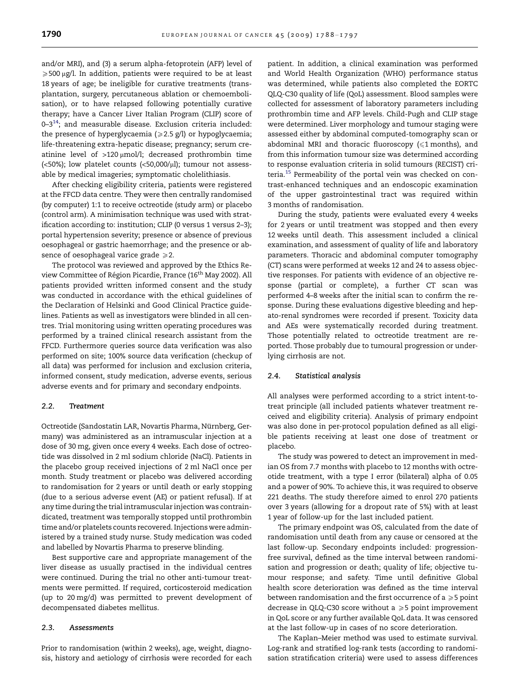and/or MRI), and (3) a serum alpha-fetoprotein (AFP) level of  $\geqslant$  500 µg/l. In addition, patients were required to be at least 18 years of age; be ineligible for curative treatments (transplantation, surgery, percutaneous ablation or chemoembolisation), or to have relapsed following potentially curative therapy; have a Cancer Liver Italian Program (CLIP) score of 0-3<sup>14</sup>; and measurable disease. Exclusion criteria included: the presence of hyperglycaemia ( $\geq$ 2.5 g/l) or hypoglycaemia; life-threatening extra-hepatic disease; pregnancy; serum creatinine level of  $>120 \mu$ mol/l; decreased prothrombin time (<50%); low platelet counts (<50,000/ $\mu$ l); tumour not assessable by medical imageries; symptomatic cholelithiasis.

After checking eligibility criteria, patients were registered at the FFCD data centre. They were then centrally randomised (by computer) 1:1 to receive octreotide (study arm) or placebo (control arm). A minimisation technique was used with stratification according to: institution; CLIP (0 versus 1 versus 2–3); portal hypertension severity; presence or absence of previous oesophageal or gastric haemorrhage; and the presence or absence of oesophageal varice grade  $\geq 2$ .

The protocol was reviewed and approved by the Ethics Review Committee of Région Picardie, France (16<sup>th</sup> May 2002). All patients provided written informed consent and the study was conducted in accordance with the ethical guidelines of the Declaration of Helsinki and Good Clinical Practice guidelines. Patients as well as investigators were blinded in all centres. Trial monitoring using written operating procedures was performed by a trained clinical research assistant from the FFCD. Furthermore queries source data verification was also performed on site; 100% source data verification (checkup of all data) was performed for inclusion and exclusion criteria, informed consent, study medication, adverse events, serious adverse events and for primary and secondary endpoints.

## 2.2. Treatment

Octreotide (Sandostatin LAR, Novartis Pharma, Nürnberg, Germany) was administered as an intramuscular injection at a dose of 30 mg, given once every 4 weeks. Each dose of octreotide was dissolved in 2 ml sodium chloride (NaCl). Patients in the placebo group received injections of 2 ml NaCl once per month. Study treatment or placebo was delivered according to randomisation for 2 years or until death or early stopping (due to a serious adverse event (AE) or patient refusal). If at any time during the trial intramuscular injection was contraindicated, treatment was temporally stopped until prothrombin time and/or platelets counts recovered. Injections were administered by a trained study nurse. Study medication was coded and labelled by Novartis Pharma to preserve blinding.

Best supportive care and appropriate management of the liver disease as usually practised in the individual centres were continued. During the trial no other anti-tumour treatments were permitted. If required, corticosteroid medication (up to 20 mg/d) was permitted to prevent development of decompensated diabetes mellitus.

#### 2.3. Assessments

Prior to randomisation (within 2 weeks), age, weight, diagnosis, history and aetiology of cirrhosis were recorded for each patient. In addition, a clinical examination was performed and World Health Organization (WHO) performance status was determined, while patients also completed the EORTC QLQ-C30 quality of life (QoL) assessment. Blood samples were collected for assessment of laboratory parameters including prothrombin time and AFP levels. Child-Pugh and CLIP stage were determined. Liver morphology and tumour staging were assessed either by abdominal computed-tomography scan or abdominal MRI and thoracic fluoroscopy  $(\leq 1 \text{ months})$ , and from this information tumour size was determined according to response evaluation criteria in solid tumours (RECIST) criteria.<sup>15</sup> Permeability of the portal vein was checked on contrast-enhanced techniques and an endoscopic examination of the upper gastrointestinal tract was required within 3 months of randomisation.

During the study, patients were evaluated every 4 weeks for 2 years or until treatment was stopped and then every 12 weeks until death. This assessment included a clinical examination, and assessment of quality of life and laboratory parameters. Thoracic and abdominal computer tomography (CT) scans were performed at weeks 12 and 24 to assess objective responses. For patients with evidence of an objective response (partial or complete), a further CT scan was performed 4–8 weeks after the initial scan to confirm the response. During these evaluations digestive bleeding and hepato-renal syndromes were recorded if present. Toxicity data and AEs were systematically recorded during treatment. Those potentially related to octreotide treatment are reported. Those probably due to tumoural progression or underlying cirrhosis are not.

## 2.4. Statistical analysis

All analyses were performed according to a strict intent-totreat principle (all included patients whatever treatment received and eligibility criteria). Analysis of primary endpoint was also done in per-protocol population defined as all eligible patients receiving at least one dose of treatment or placebo.

The study was powered to detect an improvement in median OS from 7.7 months with placebo to 12 months with octreotide treatment, with a type I error (bilateral) alpha of 0.05 and a power of 90%. To achieve this, it was required to observe 221 deaths. The study therefore aimed to enrol 270 patients over 3 years (allowing for a dropout rate of 5%) with at least 1 year of follow-up for the last included patient.

The primary endpoint was OS, calculated from the date of randomisation until death from any cause or censored at the last follow-up. Secondary endpoints included: progressionfree survival, defined as the time interval between randomisation and progression or death; quality of life; objective tumour response; and safety. Time until definitive Global health score deterioration was defined as the time interval between randomisation and the first occurrence of a  $\geqslant$  5 point decrease in QLQ-C30 score without a  $\geqslant$  5 point improvement in QoL score or any further available QoL data. It was censored at the last follow-up in cases of no score deterioration.

The Kaplan–Meier method was used to estimate survival. Log-rank and stratified log-rank tests (according to randomisation stratification criteria) were used to assess differences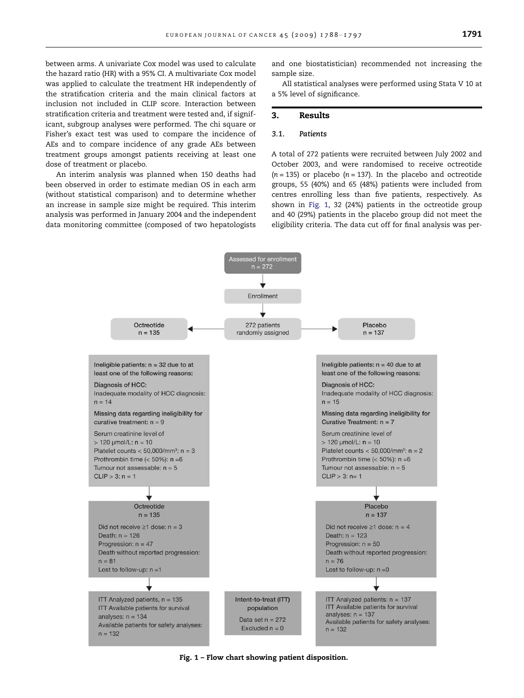between arms. A univariate Cox model was used to calculate the hazard ratio (HR) with a 95% CI. A multivariate Cox model was applied to calculate the treatment HR independently of the stratification criteria and the main clinical factors at inclusion not included in CLIP score. Interaction between stratification criteria and treatment were tested and, if significant, subgroup analyses were performed. The chi square or Fisher's exact test was used to compare the incidence of AEs and to compare incidence of any grade AEs between treatment groups amongst patients receiving at least one dose of treatment or placebo.

An interim analysis was planned when 150 deaths had been observed in order to estimate median OS in each arm (without statistical comparison) and to determine whether an increase in sample size might be required. This interim analysis was performed in January 2004 and the independent data monitoring committee (composed of two hepatologists

and one biostatistician) recommended not increasing the sample size.

All statistical analyses were performed using Stata V 10 at a 5% level of significance.

#### 3. Results

## 3.1. Patients

A total of 272 patients were recruited between July 2002 and October 2003, and were randomised to receive octreotide  $(n = 135)$  or placebo  $(n = 137)$ . In the placebo and octreotide groups, 55 (40%) and 65 (48%) patients were included from centres enrolling less than five patients, respectively. As shown in Fig. 1, 32 (24%) patients in the octreotide group and 40 (29%) patients in the placebo group did not meet the eligibility criteria. The data cut off for final analysis was per-



Fig. 1 – Flow chart showing patient disposition.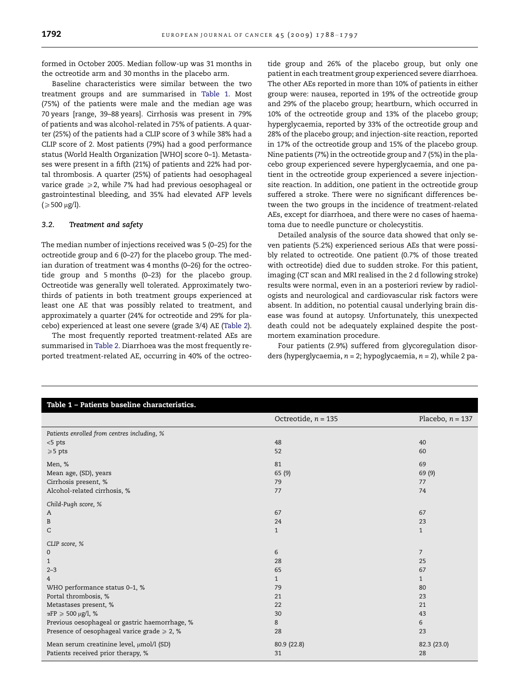formed in October 2005. Median follow-up was 31 months in the octreotide arm and 30 months in the placebo arm.

Baseline characteristics were similar between the two treatment groups and are summarised in Table 1. Most (75%) of the patients were male and the median age was 70 years [range, 39–88 years]. Cirrhosis was present in 79% of patients and was alcohol-related in 75% of patients. A quarter (25%) of the patients had a CLIP score of 3 while 38% had a CLIP score of 2. Most patients (79%) had a good performance status (World Health Organization [WHO] score 0–1). Metastases were present in a fifth (21%) of patients and 22% had portal thrombosis. A quarter (25%) of patients had oesophageal varice grade  $\geq 2$ , while 7% had had previous oesophageal or gastrointestinal bleeding, and 35% had elevated AFP levels  $\approx 500 \text{ µg/l}.$ 

## 3.2. Treatment and safety

The median number of injections received was 5 (0–25) for the octreotide group and 6 (0–27) for the placebo group. The median duration of treatment was 4 months (0–26) for the octreotide group and 5 months (0–23) for the placebo group. Octreotide was generally well tolerated. Approximately twothirds of patients in both treatment groups experienced at least one AE that was possibly related to treatment, and approximately a quarter (24% for octreotide and 29% for placebo) experienced at least one severe (grade 3/4) AE [\(Table 2\)](#page-5-0).

The most frequently reported treatment-related AEs are summarised in [Table 2.](#page-5-0) Diarrhoea was the most frequently reported treatment-related AE, occurring in 40% of the octreotide group and 26% of the placebo group, but only one patient in each treatment group experienced severe diarrhoea. The other AEs reported in more than 10% of patients in either group were: nausea, reported in 19% of the octreotide group and 29% of the placebo group; heartburn, which occurred in 10% of the octreotide group and 13% of the placebo group; hyperglycaemia, reported by 33% of the octreotide group and 28% of the placebo group; and injection-site reaction, reported in 17% of the octreotide group and 15% of the placebo group. Nine patients (7%) in the octreotide group and 7 (5%) in the placebo group experienced severe hyperglycaemia, and one patient in the octreotide group experienced a severe injectionsite reaction. In addition, one patient in the octreotide group suffered a stroke. There were no significant differences between the two groups in the incidence of treatment-related AEs, except for diarrhoea, and there were no cases of haematoma due to needle puncture or cholecystitis.

Detailed analysis of the source data showed that only seven patients (5.2%) experienced serious AEs that were possibly related to octreotide. One patient (0.7% of those treated with octreotide) died due to sudden stroke. For this patient, imaging (CT scan and MRI realised in the 2 d following stroke) results were normal, even in an a posteriori review by radiologists and neurological and cardiovascular risk factors were absent. In addition, no potential causal underlying brain disease was found at autopsy. Unfortunately, this unexpected death could not be adequately explained despite the postmortem examination procedure.

Four patients (2.9%) suffered from glycoregulation disorders (hyperglycaemia,  $n = 2$ ; hypoglycaemia,  $n = 2$ ), while 2 pa-

| Table 1 - Patients baseline characteristics.      |                       |                    |  |  |
|---------------------------------------------------|-----------------------|--------------------|--|--|
|                                                   | Octreotide, $n = 135$ | Placebo, $n = 137$ |  |  |
| Patients enrolled from centres including, %       |                       |                    |  |  |
| $<$ 5 pts                                         | 48                    | 40                 |  |  |
| $\geqslant$ 5 pts                                 | 52                    | 60                 |  |  |
| Men, %                                            | 81                    | 69                 |  |  |
| Mean age, (SD), years                             | 65 (9)                | 69 (9)             |  |  |
| Cirrhosis present, %                              | 79                    | 77                 |  |  |
| Alcohol-related cirrhosis, %                      | 77                    | 74                 |  |  |
| Child-Pugh score, %                               |                       |                    |  |  |
| A                                                 | 67                    | 67                 |  |  |
| B                                                 | 24                    | 23                 |  |  |
| C                                                 | $\mathbf{1}$          | $\mathbf{1}$       |  |  |
| CLIP score, %                                     |                       |                    |  |  |
| $\mathbf{0}$                                      | 6                     | $\overline{7}$     |  |  |
| $\mathbf{1}$                                      | 28                    | 25                 |  |  |
| $2 - 3$                                           | 65                    | 67                 |  |  |
| $\overline{4}$                                    | $\mathbf{1}$          | $\mathbf{1}$       |  |  |
| WHO performance status 0-1, %                     | 79                    | 80                 |  |  |
| Portal thrombosis, %                              | 21                    | 23                 |  |  |
| Metastases present, %                             | 22                    | 21                 |  |  |
| αFP $\geqslant$ 500 μg/l, %                       | 30                    | 43                 |  |  |
| Previous oesophageal or gastric haemorrhage, %    | 8                     | 6                  |  |  |
| Presence of oesophageal varice grade $\geq 2$ , % | 28                    | 23                 |  |  |
| Mean serum creatinine level, µmol/l (SD)          | 80.9 (22.8)           | 82.3 (23.0)        |  |  |
| Patients received prior therapy, %                | 31                    | 28                 |  |  |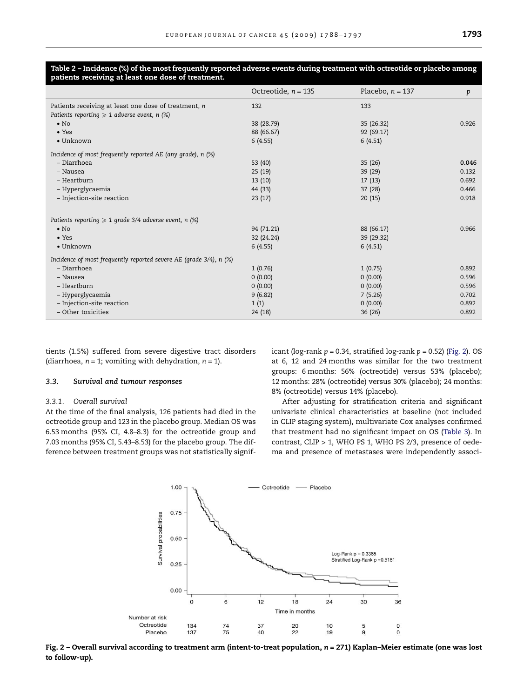<span id="page-5-0"></span>

| Table 2 - Incidence (%) of the most frequently reported adverse events during treatment with octreotide or placebo among |  |  |
|--------------------------------------------------------------------------------------------------------------------------|--|--|
| patients receiving at least one dose of treatment.                                                                       |  |  |

|                                                                    | Octreotide, $n = 135$ | Placebo, $n = 137$ | p     |
|--------------------------------------------------------------------|-----------------------|--------------------|-------|
| Patients receiving at least one dose of treatment, n               | 132                   | 133                |       |
| Patients reporting $\geq 1$ adverse event, n (%)                   |                       |                    |       |
| $\bullet$ No                                                       | 38 (28.79)            | 35 (26.32)         | 0.926 |
| $\bullet$ Yes                                                      | 88 (66.67)            | 92 (69.17)         |       |
| $\bullet$ Unknown                                                  | 6(4.55)               | 6(4.51)            |       |
| Incidence of most frequently reported AE (any grade), n (%)        |                       |                    |       |
| – Diarrhoea                                                        | 53 (40)               | 35(26)             | 0.046 |
| - Nausea                                                           | 25(19)                | 39 (29)            | 0.132 |
| - Heartburn                                                        | 13(10)                | 17(13)             | 0.692 |
| – Hyperglycaemia                                                   | 44 (33)               | 37(28)             | 0.466 |
| - Injection-site reaction                                          | 23(17)                | 20(15)             | 0.918 |
| Patients reporting $\geq 1$ grade 3/4 adverse event, n (%)         |                       |                    |       |
| $\bullet$ No                                                       | 94 (71.21)            | 88 (66.17)         | 0.966 |
| $\bullet$ Yes                                                      | 32 (24.24)            | 39 (29.32)         |       |
| $\bullet$ Unknown                                                  | 6(4.55)               | 6(4.51)            |       |
| Incidence of most frequently reported severe AE (grade 3/4), n (%) |                       |                    |       |
| – Diarrhoea                                                        | 1(0.76)               | 1(0.75)            | 0.892 |
| - Nausea                                                           | 0(0.00)               | 0(0.00)            | 0.596 |
| - Heartburn                                                        | 0(0.00)               | 0(0.00)            | 0.596 |
| – Hyperglycaemia                                                   | 9(6.82)               | 7(5.26)            | 0.702 |
| - Injection-site reaction                                          | 1(1)                  | 0(0.00)            | 0.892 |
| - Other toxicities                                                 | 24 (18)               | 36(26)             | 0.892 |

tients (1.5%) suffered from severe digestive tract disorders (diarrhoea,  $n = 1$ ; vomiting with dehydration,  $n = 1$ ).

# 3.3. Survival and tumour responses

## 3.3.1. Overall survival

At the time of the final analysis, 126 patients had died in the octreotide group and 123 in the placebo group. Median OS was 6.53 months (95% CI, 4.8–8.3) for the octreotide group and 7.03 months (95% CI, 5.43–8.53) for the placebo group. The difference between treatment groups was not statistically significant (log-rank  $p = 0.34$ , stratified log-rank  $p = 0.52$ ) (Fig. 2). OS at 6, 12 and 24 months was similar for the two treatment groups: 6 months: 56% (octreotide) versus 53% (placebo); 12 months: 28% (octreotide) versus 30% (placebo); 24 months: 8% (octreotide) versus 14% (placebo).

After adjusting for stratification criteria and significant univariate clinical characteristics at baseline (not included in CLIP staging system), multivariate Cox analyses confirmed that treatment had no significant impact on OS [\(Table 3](#page-6-0)). In contrast, CLIP > 1, WHO PS 1, WHO PS 2/3, presence of oedema and presence of metastases were independently associ-



Fig. 2 – Overall survival according to treatment arm (intent-to-treat population, n = 271) Kaplan–Meier estimate (one was lost to follow-up).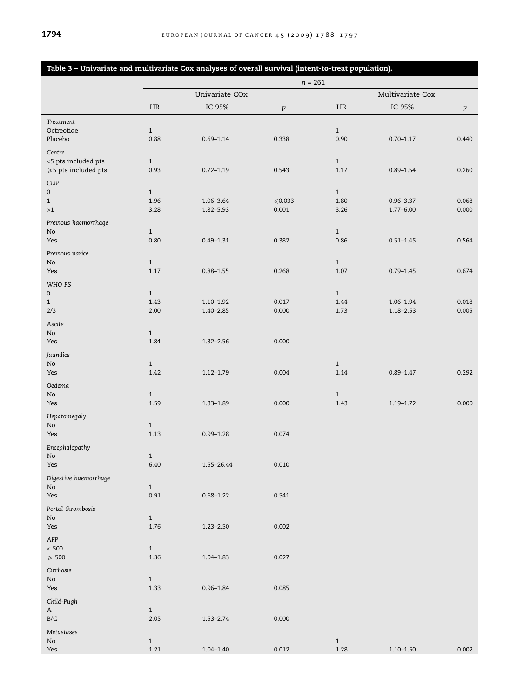<span id="page-6-0"></span>

| Table 3 - Univariate and multivariate Cox analyses of overall survival (intent-to-treat population). |                      |               |                    |                      |               |         |
|------------------------------------------------------------------------------------------------------|----------------------|---------------|--------------------|----------------------|---------------|---------|
|                                                                                                      | $n=261$              |               |                    |                      |               |         |
|                                                                                                      | Univariate COx       |               |                    | Multivariate Cox     |               |         |
|                                                                                                      | <b>HR</b>            | IC 95%        | $\boldsymbol{p}$   | <b>HR</b>            | IC 95%        | $\,p\,$ |
| Treatment                                                                                            |                      |               |                    |                      |               |         |
| Octreotide                                                                                           | $\mathbf{1}$         |               |                    | $\mathbf{1}$         |               |         |
| Placebo                                                                                              | 0.88                 | $0.69 - 1.14$ | 0.338              | 0.90                 | $0.70 - 1.17$ | 0.440   |
| Centre                                                                                               |                      |               |                    |                      |               |         |
| <5 pts included pts                                                                                  | $\mathbf{1}$         |               |                    | $\mathbf{1}$         |               |         |
| $\geqslant$ 5 pts included pts                                                                       | 0.93                 | $0.72 - 1.19$ | 0.543              | 1.17                 | $0.89 - 1.54$ | 0.260   |
| <b>CLIP</b>                                                                                          |                      |               |                    |                      |               |         |
| $\mathsf{O}\xspace$                                                                                  | $\mathbf{1}$         |               |                    | $\mathbf{1}$         |               |         |
| $\mathbf{1}$                                                                                         | 1.96                 | 1.06-3.64     | ${\leqslant}0.033$ | 1.80                 | $0.96 - 3.37$ | 0.068   |
| >1                                                                                                   | 3.28                 | 1.82-5.93     | 0.001              | 3.26                 | $1.77 - 6.00$ | 0.000   |
| Previous haemorrhage                                                                                 |                      |               |                    |                      |               |         |
| No<br>Yes                                                                                            | $\mathbf{1}$<br>0.80 | $0.49 - 1.31$ | 0.382              | $\mathbf{1}$<br>0.86 | $0.51 - 1.45$ | 0.564   |
|                                                                                                      |                      |               |                    |                      |               |         |
| Previous varice                                                                                      |                      |               |                    |                      |               |         |
| No<br>Yes                                                                                            | $\mathbf{1}$<br>1.17 | $0.88 - 1.55$ | 0.268              | $\mathbf{1}$<br>1.07 | $0.79 - 1.45$ | 0.674   |
|                                                                                                      |                      |               |                    |                      |               |         |
| WHO PS                                                                                               |                      |               |                    |                      |               |         |
| $\mathsf{O}\xspace$<br>$\mathbf{1}$                                                                  | $\mathbf{1}$<br>1.43 | $1.10 - 1.92$ | 0.017              | $\mathbf{1}$<br>1.44 | $1.06 - 1.94$ | 0.018   |
| 2/3                                                                                                  | 2.00                 | $1.40 - 2.85$ | 0.000              | 1.73                 | $1.18 - 2.53$ | 0.005   |
| Ascite                                                                                               |                      |               |                    |                      |               |         |
| No                                                                                                   | $\mathbf{1}$         |               |                    |                      |               |         |
| Yes                                                                                                  | 1.84                 | $1.32 - 2.56$ | 0.000              |                      |               |         |
| Jaundice                                                                                             |                      |               |                    |                      |               |         |
| $\rm No$                                                                                             | $\mathbf{1}$         |               |                    | $\mathbf{1}$         |               |         |
| Yes                                                                                                  | 1.42                 | $1.12 - 1.79$ | 0.004              | 1.14                 | $0.89 - 1.47$ | 0.292   |
| Oedema                                                                                               |                      |               |                    |                      |               |         |
| No                                                                                                   | $\mathbf{1}$         |               |                    | $\mathbf{1}$         |               |         |
| Yes                                                                                                  | 1.59                 | $1.33 - 1.89$ | 0.000              | 1.43                 | $1.19 - 1.72$ | 0.000   |
| Hepatomegaly                                                                                         |                      |               |                    |                      |               |         |
| No                                                                                                   | $\mathbf{1}$         |               |                    |                      |               |         |
| Yes                                                                                                  | 1.13                 | $0.99 - 1.28$ | 0.074              |                      |               |         |
| Encephalopathy                                                                                       |                      |               |                    |                      |               |         |
| NO.                                                                                                  | $\mathbf{1}$         |               |                    |                      |               |         |
| Yes                                                                                                  | 6.40                 | 1.55-26.44    | 0.010              |                      |               |         |
| Digestive haemorrhage                                                                                |                      |               |                    |                      |               |         |
| No                                                                                                   | $\mathbf{1}$         |               |                    |                      |               |         |
| Yes                                                                                                  | 0.91                 | $0.68 - 1.22$ | 0.541              |                      |               |         |
| Portal thrombosis                                                                                    |                      |               |                    |                      |               |         |
| $\rm No$                                                                                             | $\mathbf{1}$         |               |                    |                      |               |         |
| Yes                                                                                                  | 1.76                 | $1.23 - 2.50$ | 0.002              |                      |               |         |
| AFP                                                                                                  |                      |               |                    |                      |               |         |
| $< 500\,$                                                                                            | $\mathbf{1}$         |               |                    |                      |               |         |
| $\geqslant$ 500                                                                                      | 1.36                 | $1.04 - 1.83$ | 0.027              |                      |               |         |
| Cirrhosis                                                                                            |                      |               |                    |                      |               |         |
| No                                                                                                   | $\mathbf{1}$         |               |                    |                      |               |         |
| Yes                                                                                                  | 1.33                 | $0.96 - 1.84$ | 0.085              |                      |               |         |
| Child-Pugh                                                                                           |                      |               |                    |                      |               |         |
| $\mathbf A$                                                                                          | $\,1$                |               |                    |                      |               |         |
| $\rm B/C$                                                                                            | 2.05                 | $1.53 - 2.74$ | 0.000              |                      |               |         |
| Metastases                                                                                           |                      |               |                    |                      |               |         |
| $\rm No$                                                                                             | $\mathbf{1}$         |               |                    | $\mathbf{1}$         |               |         |
| Yes                                                                                                  | 1.21                 | $1.04 - 1.40$ | 0.012              | 1.28                 | $1.10 - 1.50$ | 0.002   |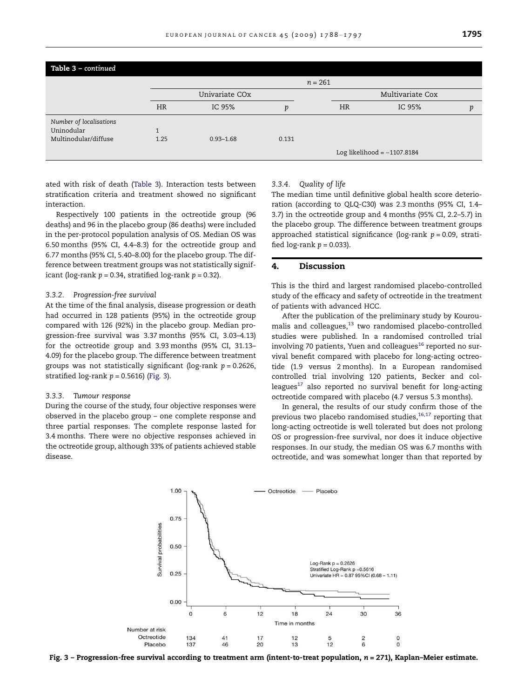| Table 3 - continued     |                            |               |       |                  |                               |   |  |
|-------------------------|----------------------------|---------------|-------|------------------|-------------------------------|---|--|
|                         |                            |               |       | $n = 261$        |                               |   |  |
|                         | Univariate CO <sub>x</sub> |               |       | Multivariate Cox |                               |   |  |
|                         | <b>HR</b>                  | IC 95%        | Ď     | <b>HR</b>        | IC 95%                        | Ď |  |
| Number of localisations |                            |               |       |                  |                               |   |  |
| Uninodular              |                            |               |       |                  |                               |   |  |
| Multinodular/diffuse    | 1.25                       | $0.93 - 1.68$ | 0.131 |                  |                               |   |  |
|                         |                            |               |       |                  | Log likelihood = $-1107.8184$ |   |  |

ated with risk of death ([Table 3\)](#page-6-0). Interaction tests between stratification criteria and treatment showed no significant interaction.

Respectively 100 patients in the octreotide group (96 deaths) and 96 in the placebo group (86 deaths) were included in the per-protocol population analysis of OS. Median OS was 6.50 months (95% CI, 4.4–8.3) for the octreotide group and 6.77 months (95% CI, 5.40–8.00) for the placebo group. The difference between treatment groups was not statistically significant (log-rank  $p = 0.34$ , stratified log-rank  $p = 0.32$ ).

## 3.3.2. Progression-free survival

At the time of the final analysis, disease progression or death had occurred in 128 patients (95%) in the octreotide group compared with 126 (92%) in the placebo group. Median progression-free survival was 3.37 months (95% CI, 3.03–4.13) for the octreotide group and 3.93 months (95% CI, 31.13– 4.09) for the placebo group. The difference between treatment groups was not statistically significant (log-rank  $p = 0.2626$ , stratified log-rank  $p = 0.5616$ ) (Fig. 3).

## 3.3.3. Tumour response

During the course of the study, four objective responses were observed in the placebo group – one complete response and three partial responses. The complete response lasted for 3.4 months. There were no objective responses achieved in the octreotide group, although 33% of patients achieved stable disease.

#### 3.3.4. Quality of life

The median time until definitive global health score deterioration (according to QLQ-C30) was 2.3 months (95% CI, 1.4– 3.7) in the octreotide group and 4 months (95% CI, 2.2–5.7) in the placebo group. The difference between treatment groups approached statistical significance (log-rank  $p = 0.09$ , stratified  $log-rank p = 0.033$ ).

## 4. Discussion

This is the third and largest randomised placebo-controlled study of the efficacy and safety of octreotide in the treatment of patients with advanced HCC.

After the publication of the preliminary study by Kouroumalis and colleagues, $^{13}$  $^{13}$  $^{13}$  two randomised placebo-controlled studies were published. In a randomised controlled trial involving 70 patients, Yuen and colleagues<sup>[16](#page-9-0)</sup> reported no survival benefit compared with placebo for long-acting octreotide (1.9 versus 2 months). In a European randomised controlled trial involving 120 patients, Becker and colleagues $17$  also reported no survival benefit for long-acting octreotide compared with placebo (4.7 versus 5.3 months).

In general, the results of our study confirm those of the previous two placebo randomised studies, $16,17$  reporting that long-acting octreotide is well tolerated but does not prolong OS or progression-free survival, nor does it induce objective responses. In our study, the median OS was 6.7 months with octreotide, and was somewhat longer than that reported by



Fig. 3 – Progression-free survival according to treatment arm (intent-to-treat population, n = 271), Kaplan–Meier estimate.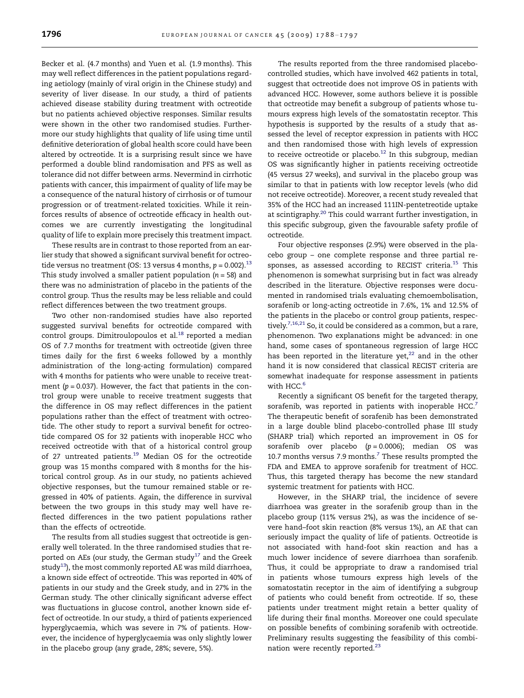Becker et al. (4.7 months) and Yuen et al. (1.9 months). This may well reflect differences in the patient populations regarding aetiology (mainly of viral origin in the Chinese study) and severity of liver disease. In our study, a third of patients achieved disease stability during treatment with octreotide but no patients achieved objective responses. Similar results were shown in the other two randomised studies. Furthermore our study highlights that quality of life using time until definitive deterioration of global health score could have been altered by octreotide. It is a surprising result since we have performed a double blind randomisation and PFS as well as tolerance did not differ between arms. Nevermind in cirrhotic patients with cancer, this impairment of quality of life may be a consequence of the natural history of cirrhosis or of tumour progression or of treatment-related toxicities. While it reinforces results of absence of octreotide efficacy in health outcomes we are currently investigating the longitudinal quality of life to explain more precisely this treatment impact.

These results are in contrast to those reported from an earlier study that showed a significant survival benefit for octreo-tide versus no treatment (OS: [13](#page-9-0) versus 4 months,  $p = 0.002$ ).<sup>13</sup> This study involved a smaller patient population  $(n = 58)$  and there was no administration of placebo in the patients of the control group. Thus the results may be less reliable and could reflect differences between the two treatment groups.

Two other non-randomised studies have also reported suggested survival benefits for octreotide compared with control groups. Dimitroulopoulos et al.<sup>[18](#page-9-0)</sup> reported a median OS of 7.7 months for treatment with octreotide (given three times daily for the first 6 weeks followed by a monthly administration of the long-acting formulation) compared with 4 months for patients who were unable to receive treatment ( $p = 0.037$ ). However, the fact that patients in the control group were unable to receive treatment suggests that the difference in OS may reflect differences in the patient populations rather than the effect of treatment with octreotide. The other study to report a survival benefit for octreotide compared OS for 32 patients with inoperable HCC who received octreotide with that of a historical control group of 27 untreated patients.<sup>19</sup> Median OS for the octreotide group was 15 months compared with 8 months for the historical control group. As in our study, no patients achieved objective responses, but the tumour remained stable or regressed in 40% of patients. Again, the difference in survival between the two groups in this study may well have reflected differences in the two patient populations rather than the effects of octreotide.

The results from all studies suggest that octreotide is generally well tolerated. In the three randomised studies that re-ported on AEs (our study, the German study<sup>[17](#page-9-0)</sup> and the Greek study<sup>[13](#page-9-0)</sup>), the most commonly reported AE was mild diarrhoea, a known side effect of octreotide. This was reported in 40% of patients in our study and the Greek study, and in 27% in the German study. The other clinically significant adverse effect was fluctuations in glucose control, another known side effect of octreotide. In our study, a third of patients experienced hyperglycaemia, which was severe in 7% of patients. However, the incidence of hyperglycaemia was only slightly lower in the placebo group (any grade, 28%; severe, 5%).

The results reported from the three randomised placebocontrolled studies, which have involved 462 patients in total, suggest that octreotide does not improve OS in patients with advanced HCC. However, some authors believe it is possible that octreotide may benefit a subgroup of patients whose tumours express high levels of the somatostatin receptor. This hypothesis is supported by the results of a study that assessed the level of receptor expression in patients with HCC and then randomised those with high levels of expression to receive octreotide or placebo.<sup>12</sup> In this subgroup, median OS was significantly higher in patients receiving octreotide (45 versus 27 weeks), and survival in the placebo group was similar to that in patients with low receptor levels (who did not receive octreotide). Moreover, a recent study revealed that 35% of the HCC had an increased 111IN-pentetreotide uptake at scintigraphy[.20](#page-9-0) This could warrant further investigation, in this specific subgroup, given the favourable safety profile of octreotide.

Four objective responses (2.9%) were observed in the placebo group – one complete response and three partial re-sponses, as assessed according to RECIST criteria.<sup>[15](#page-9-0)</sup> This phenomenon is somewhat surprising but in fact was already described in the literature. Objective responses were documented in randomised trials evaluating chemoembolisation, sorafenib or long-acting octreotide in 7.6%, 1% and 12.5% of the patients in the placebo or control group patients, respectively.<sup>7,16,21</sup> So, it could be considered as a common, but a rare, phenomenon. Two explanations might be advanced: in one hand, some cases of spontaneous regression of large HCC has been reported in the literature yet, $22$  and in the other hand it is now considered that classical RECIST criteria are somewhat inadequate for response assessment in patients with HCC.<sup>6</sup>

Recently a significant OS benefit for the targeted therapy, sorafenib, was reported in patients with inoperable HCC.<sup>7</sup> The therapeutic benefit of sorafenib has been demonstrated in a large double blind placebo-controlled phase III study (SHARP trial) which reported an improvement in OS for sorafenib over placebo  $(p = 0.0006)$ ; median OS was 10[.7](#page-9-0) months versus 7.9 months.<sup>7</sup> These results prompted the FDA and EMEA to approve sorafenib for treatment of HCC. Thus, this targeted therapy has become the new standard systemic treatment for patients with HCC.

However, in the SHARP trial, the incidence of severe diarrhoea was greater in the sorafenib group than in the placebo group (11% versus 2%), as was the incidence of severe hand–foot skin reaction (8% versus 1%), an AE that can seriously impact the quality of life of patients. Octreotide is not associated with hand-foot skin reaction and has a much lower incidence of severe diarrhoea than sorafenib. Thus, it could be appropriate to draw a randomised trial in patients whose tumours express high levels of the somatostatin receptor in the aim of identifying a subgroup of patients who could benefit from octreotide. If so, these patients under treatment might retain a better quality of life during their final months. Moreover one could speculate on possible benefits of combining sorafenib with octreotide. Preliminary results suggesting the feasibility of this combination were recently reported.[23](#page-9-0)